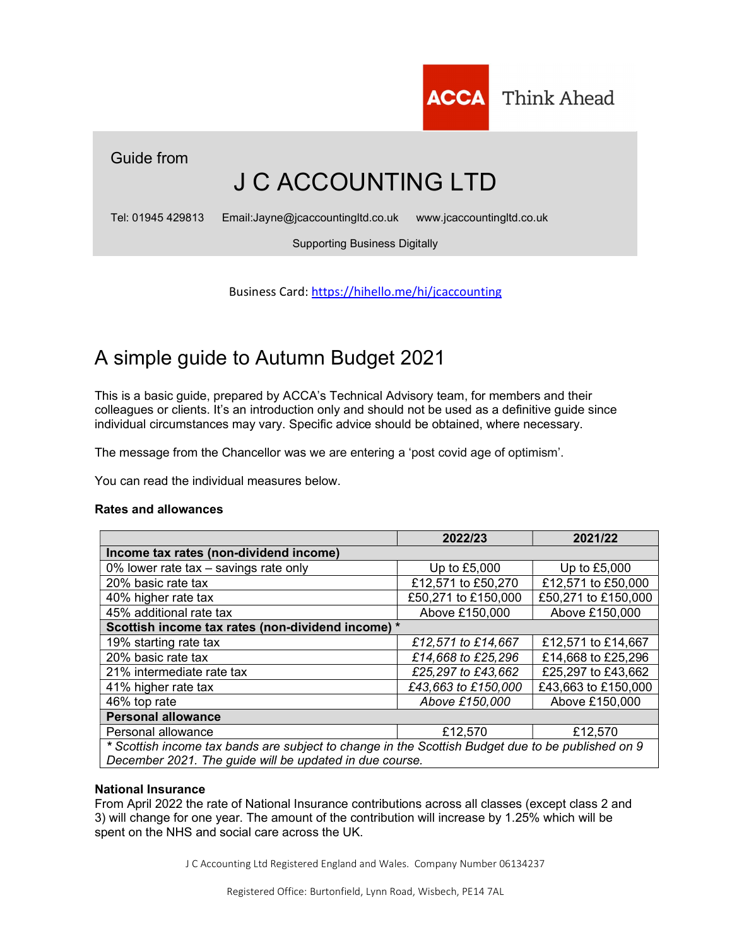

Guide from

# J C ACCOUNTING LTD

Tel: 01945 429813 Email:Jayne@jcaccountingltd.co.uk www.jcaccountingltd.co.uk

Supporting Business Digitally

Business Card: https://hihello.me/hi/jcaccounting

# A simple guide to Autumn Budget 2021

This is a basic guide, prepared by ACCA's Technical Advisory team, for members and their colleagues or clients. It's an introduction only and should not be used as a definitive guide since individual circumstances may vary. Specific advice should be obtained, where necessary.

The message from the Chancellor was we are entering a 'post covid age of optimism'.

You can read the individual measures below.

# Rates and allowances

|                                                                                                   | 2022/23             | 2021/22             |  |
|---------------------------------------------------------------------------------------------------|---------------------|---------------------|--|
| Income tax rates (non-dividend income)                                                            |                     |                     |  |
| 0% lower rate tax – savings rate only                                                             | Up to £5,000        | Up to £5,000        |  |
| 20% basic rate tax                                                                                | £12,571 to £50,270  | £12,571 to £50,000  |  |
| 40% higher rate tax                                                                               | £50,271 to £150,000 | £50,271 to £150,000 |  |
| 45% additional rate tax                                                                           | Above £150,000      | Above £150,000      |  |
| Scottish income tax rates (non-dividend income) *                                                 |                     |                     |  |
| 19% starting rate tax                                                                             | £12,571 to £14,667  | £12,571 to £14,667  |  |
| 20% basic rate tax                                                                                | £14,668 to £25,296  | £14,668 to £25,296  |  |
| 21% intermediate rate tax                                                                         | £25,297 to £43,662  | £25,297 to £43,662  |  |
| 41% higher rate tax                                                                               | £43,663 to £150,000 | £43,663 to £150,000 |  |
| 46% top rate                                                                                      | Above £150,000      | Above £150,000      |  |
| <b>Personal allowance</b>                                                                         |                     |                     |  |
| Personal allowance                                                                                | £12,570             | £12,570             |  |
| * Scottish income tax bands are subject to change in the Scottish Budget due to be published on 9 |                     |                     |  |
| December 2021. The guide will be updated in due course.                                           |                     |                     |  |

# National Insurance

From April 2022 the rate of National Insurance contributions across all classes (except class 2 and 3) will change for one year. The amount of the contribution will increase by 1.25% which will be spent on the NHS and social care across the UK.

J C Accounting Ltd Registered England and Wales. Company Number 06134237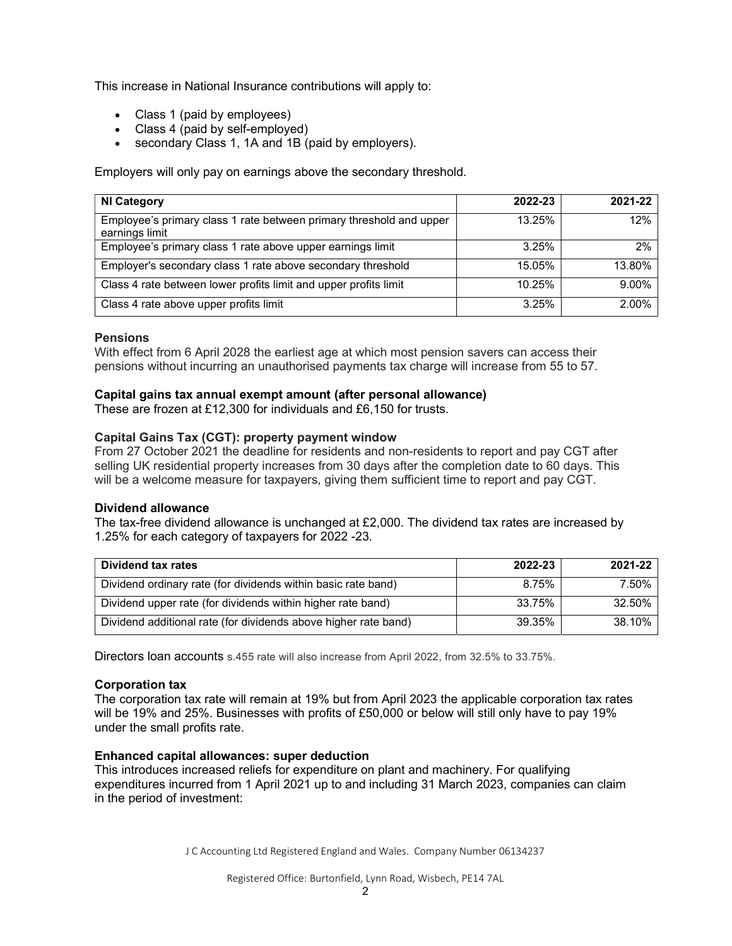This increase in National Insurance contributions will apply to:

- Class 1 (paid by employees)
- Class 4 (paid by self-employed)
- secondary Class 1, 1A and 1B (paid by employers).

Employers will only pay on earnings above the secondary threshold.

| <b>NI Category</b>                                                                    | 2022-23 | 2021-22 |
|---------------------------------------------------------------------------------------|---------|---------|
| Employee's primary class 1 rate between primary threshold and upper<br>earnings limit | 13.25%  | 12%     |
| Employee's primary class 1 rate above upper earnings limit                            | 3.25%   | 2%      |
| Employer's secondary class 1 rate above secondary threshold                           | 15.05%  | 13.80%  |
| Class 4 rate between lower profits limit and upper profits limit                      | 10.25%  | 9.00%   |
| Class 4 rate above upper profits limit                                                | 3.25%   | 2.00%   |

# **Pensions**

With effect from 6 April 2028 the earliest age at which most pension savers can access their pensions without incurring an unauthorised payments tax charge will increase from 55 to 57.

# Capital gains tax annual exempt amount (after personal allowance)

These are frozen at £12,300 for individuals and £6,150 for trusts.

# Capital Gains Tax (CGT): property payment window

From 27 October 2021 the deadline for residents and non-residents to report and pay CGT after selling UK residential property increases from 30 days after the completion date to 60 days. This will be a welcome measure for taxpayers, giving them sufficient time to report and pay CGT.

# Dividend allowance

The tax-free dividend allowance is unchanged at £2,000. The dividend tax rates are increased by 1.25% for each category of taxpayers for 2022 -23.

| Dividend tax rates                                              | 2022-23 | 2021-22 |
|-----------------------------------------------------------------|---------|---------|
| Dividend ordinary rate (for dividends within basic rate band)   | 8.75%   | 7.50%   |
| Dividend upper rate (for dividends within higher rate band)     | 33.75%  | 32.50%  |
| Dividend additional rate (for dividends above higher rate band) | 39.35%  | 38.10%  |

Directors loan accounts s.455 rate will also increase from April 2022, from 32.5% to 33.75%.

# Corporation tax

The corporation tax rate will remain at 19% but from April 2023 the applicable corporation tax rates will be 19% and 25%. Businesses with profits of £50,000 or below will still only have to pay 19% under the small profits rate.

# Enhanced capital allowances: super deduction

This introduces increased reliefs for expenditure on plant and machinery. For qualifying expenditures incurred from 1 April 2021 up to and including 31 March 2023, companies can claim in the period of investment:

J C Accounting Ltd Registered England and Wales. Company Number 06134237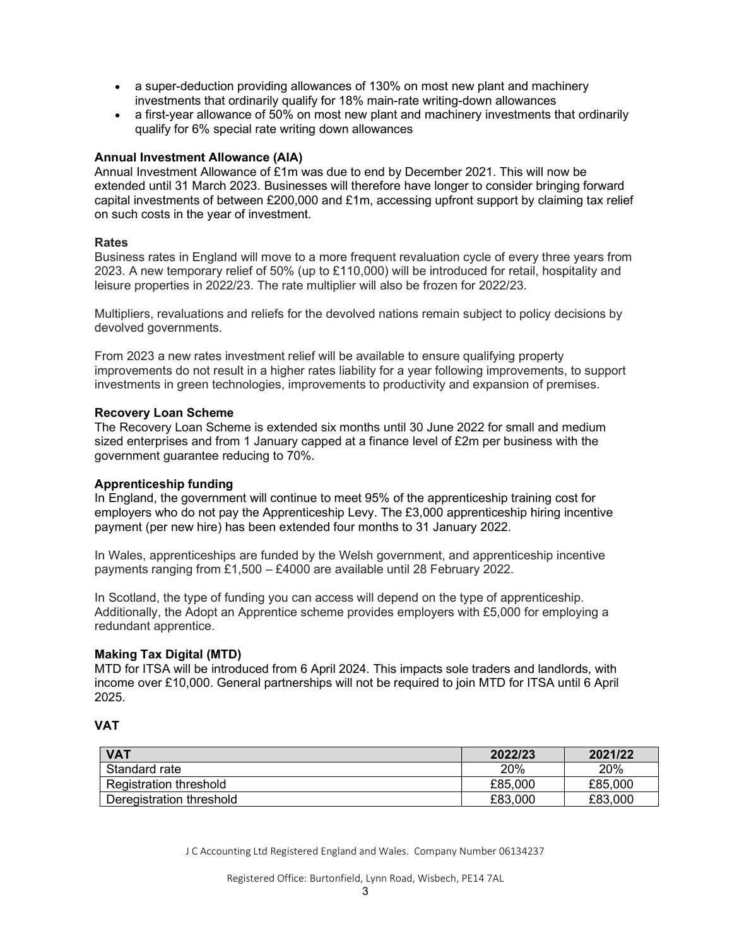- a super-deduction providing allowances of 130% on most new plant and machinery investments that ordinarily qualify for 18% main-rate writing-down allowances
- a first-year allowance of 50% on most new plant and machinery investments that ordinarily qualify for 6% special rate writing down allowances

# Annual Investment Allowance (AIA)

Annual Investment Allowance of £1m was due to end by December 2021. This will now be extended until 31 March 2023. Businesses will therefore have longer to consider bringing forward capital investments of between £200,000 and £1m, accessing upfront support by claiming tax relief on such costs in the year of investment.

# Rates

Business rates in England will move to a more frequent revaluation cycle of every three years from 2023. A new temporary relief of 50% (up to £110,000) will be introduced for retail, hospitality and leisure properties in 2022/23. The rate multiplier will also be frozen for 2022/23.

Multipliers, revaluations and reliefs for the devolved nations remain subject to policy decisions by devolved governments.

From 2023 a new rates investment relief will be available to ensure qualifying property improvements do not result in a higher rates liability for a year following improvements, to support investments in green technologies, improvements to productivity and expansion of premises.

# Recovery Loan Scheme

The Recovery Loan Scheme is extended six months until 30 June 2022 for small and medium sized enterprises and from 1 January capped at a finance level of £2m per business with the government guarantee reducing to 70%.

# Apprenticeship funding

In England, the government will continue to meet 95% of the apprenticeship training cost for employers who do not pay the Apprenticeship Levy. The £3,000 apprenticeship hiring incentive payment (per new hire) has been extended four months to 31 January 2022.

In Wales, apprenticeships are funded by the Welsh government, and apprenticeship incentive payments ranging from £1,500 – £4000 are available until 28 February 2022.

In Scotland, the type of funding you can access will depend on the type of apprenticeship. Additionally, the Adopt an Apprentice scheme provides employers with £5,000 for employing a redundant apprentice.

# Making Tax Digital (MTD)

MTD for ITSA will be introduced from 6 April 2024. This impacts sole traders and landlords, with income over £10,000. General partnerships will not be required to join MTD for ITSA until 6 April 2025.

# VAT

| <b>VAT</b>               | 2022/23 | 2021/22 |
|--------------------------|---------|---------|
| Standard rate            | 20%     | 20%     |
| Registration threshold   | £85,000 | £85,000 |
| Deregistration threshold | £83,000 | £83,000 |

J C Accounting Ltd Registered England and Wales. Company Number 06134237

Registered Office: Burtonfield, Lynn Road, Wisbech, PE14 7AL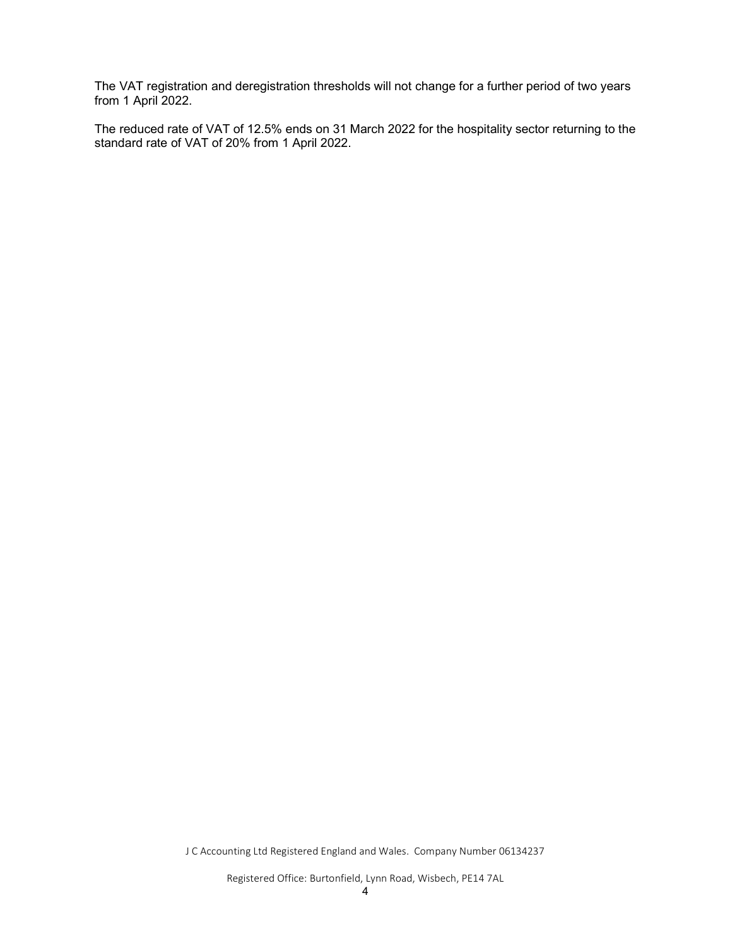The VAT registration and deregistration thresholds will not change for a further period of two years from 1 April 2022.

The reduced rate of VAT of 12.5% ends on 31 March 2022 for the hospitality sector returning to the standard rate of VAT of 20% from 1 April 2022.

J C Accounting Ltd Registered England and Wales. Company Number 06134237

Registered Office: Burtonfield, Lynn Road, Wisbech, PE14 7AL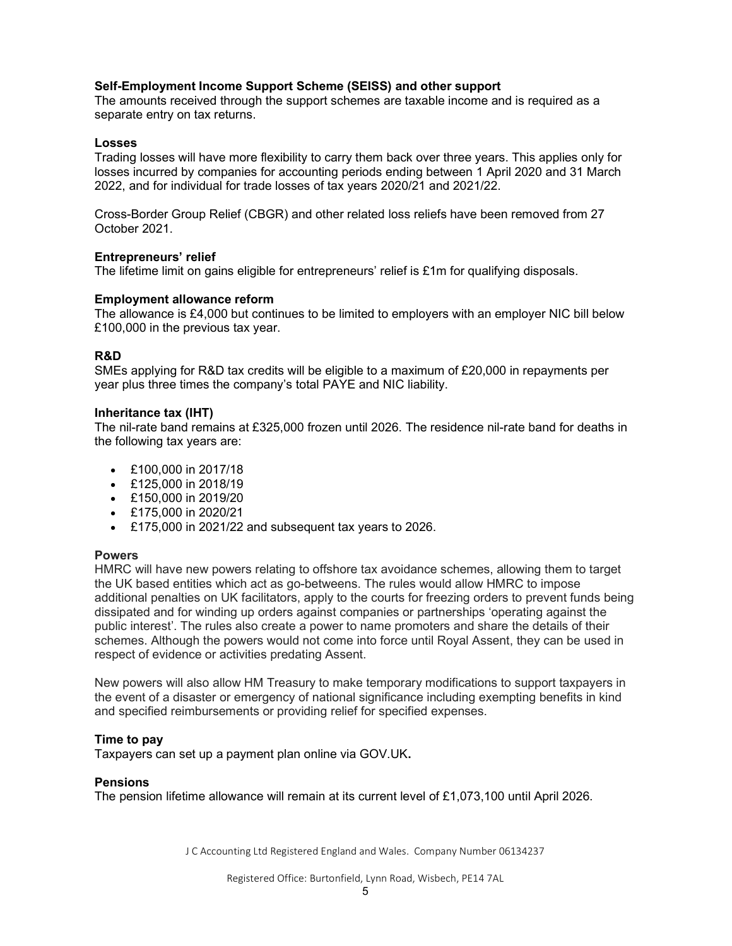# Self-Employment Income Support Scheme (SEISS) and other support

The amounts received through the support schemes are taxable income and is required as a separate entry on tax returns.

#### Losses

Trading losses will have more flexibility to carry them back over three years. This applies only for losses incurred by companies for accounting periods ending between 1 April 2020 and 31 March 2022, and for individual for trade losses of tax years 2020/21 and 2021/22.

Cross-Border Group Relief (CBGR) and other related loss reliefs have been removed from 27 October 2021.

#### Entrepreneurs' relief

The lifetime limit on gains eligible for entrepreneurs' relief is £1m for qualifying disposals.

#### Employment allowance reform

The allowance is £4,000 but continues to be limited to employers with an employer NIC bill below £100,000 in the previous tax year.

# R&D

SMEs applying for R&D tax credits will be eligible to a maximum of £20,000 in repayments per year plus three times the company's total PAYE and NIC liability.

#### Inheritance tax (IHT)

The nil-rate band remains at £325,000 frozen until 2026. The residence nil-rate band for deaths in the following tax years are:

- £100,000 in 2017/18
- £125,000 in 2018/19
- £150,000 in 2019/20
- £175,000 in 2020/21
- £175,000 in 2021/22 and subsequent tax years to 2026.

# **Powers**

HMRC will have new powers relating to offshore tax avoidance schemes, allowing them to target the UK based entities which act as go-betweens. The rules would allow HMRC to impose additional penalties on UK facilitators, apply to the courts for freezing orders to prevent funds being dissipated and for winding up orders against companies or partnerships 'operating against the public interest'. The rules also create a power to name promoters and share the details of their schemes. Although the powers would not come into force until Royal Assent, they can be used in respect of evidence or activities predating Assent.

New powers will also allow HM Treasury to make temporary modifications to support taxpayers in the event of a disaster or emergency of national significance including exempting benefits in kind and specified reimbursements or providing relief for specified expenses.

# Time to pay

Taxpayers can set up a payment plan online via GOV.UK.

# Pensions

The pension lifetime allowance will remain at its current level of £1,073,100 until April 2026.

J C Accounting Ltd Registered England and Wales. Company Number 06134237

Registered Office: Burtonfield, Lynn Road, Wisbech, PE14 7AL